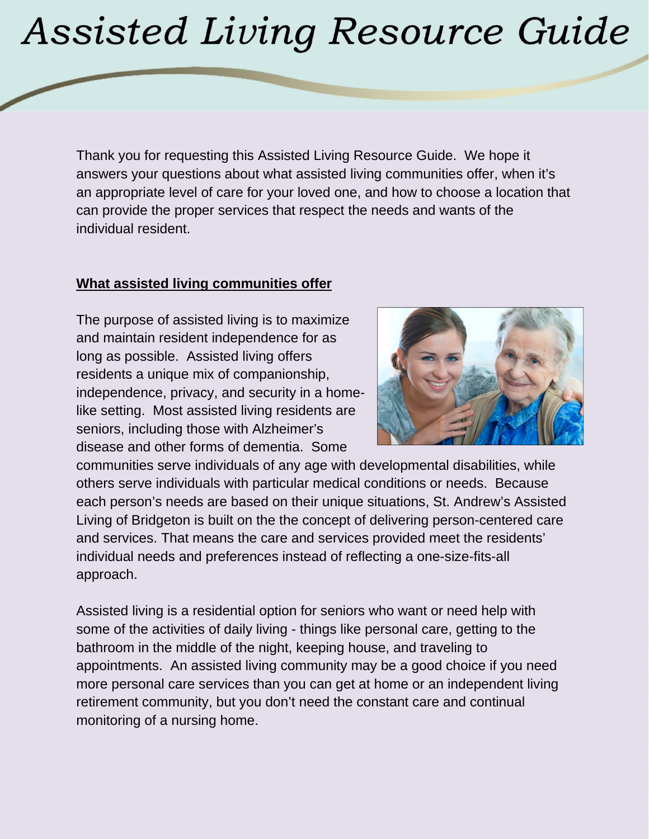# **Assisted Living Resource Guide**

Thank you for requesting this Assisted Living Resource Guide. We hope it answers your questions about what assisted living communities offer, when it's an appropriate level of care for your loved one, and how to choose a location that can provide the proper services that respect the needs and wants of the individual resident.

#### **What assisted living communities offer**

The purpose of assisted living is to maximize and maintain resident independence for as long as possible. Assisted living offers residents a unique mix of companionship, independence, privacy, and security in a homelike setting. Most assisted living residents are seniors, including those with Alzheimer's disease and other forms of dementia. Some



communities serve individuals of any age with developmental disabilities, while others serve individuals with particular medical conditions or needs. Because each person's needs are based on their unique situations, St. Andrew's Assisted Living of Bridgeton is built on the the concept of delivering person-centered care and services. That means the care and services provided meet the residents' individual needs and preferences instead of reflecting a one-size-fits-all approach.

Assisted living is a residential option for seniors who want or need help with some of the activities of daily living - things like personal care, getting to the bathroom in the middle of the night, keeping house, and traveling to appointments. An assisted living community may be a good choice if you need more personal care services than you can get at home or an independent living retirement community, but you don't need the constant care and continual monitoring of a nursing home.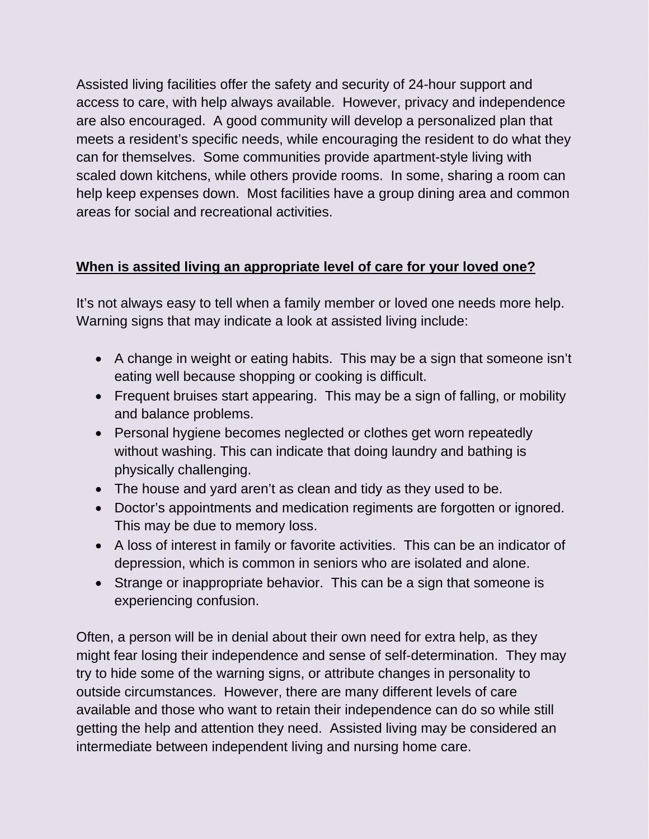Assisted living facilities offer the safety and security of 24-hour support and access to care, with help always available. However, privacy and independence are also encouraged. A good community will develop a personalized plan that meets a resident's specific needs, while encouraging the resident to do what they can for themselves. Some communities provide apartment-style living with scaled down kitchens, while others provide rooms. In some, sharing a room can help keep expenses down. Most facilities have a group dining area and common areas for social and recreational activities.

## **When is assited living an appropriate level of care for your loved one?**

It's not always easy to tell when a family member or loved one needs more help. Warning signs that may indicate a look at assisted living include:

- A change in weight or eating habits. This may be a sign that someone isn't eating well because shopping or cooking is difficult.
- Frequent bruises start appearing. This may be a sign of falling, or mobility and balance problems.
- Personal hygiene becomes neglected or clothes get worn repeatedly without washing. This can indicate that doing laundry and bathing is physically challenging.
- The house and yard aren't as clean and tidy as they used to be.
- Doctor's appointments and medication regiments are forgotten or ignored. This may be due to memory loss.
- A loss of interest in family or favorite activities. This can be an indicator of depression, which is common in seniors who are isolated and alone.
- Strange or inappropriate behavior. This can be a sign that someone is experiencing confusion.

Often, a person will be in denial about their own need for extra help, as they might fear losing their independence and sense of self-determination. They may try to hide some of the warning signs, or attribute changes in personality to outside circumstances. However, there are many different levels of care available and those who want to retain their independence can do so while still getting the help and attention they need. Assisted living may be considered an intermediate between independent living and nursing home care.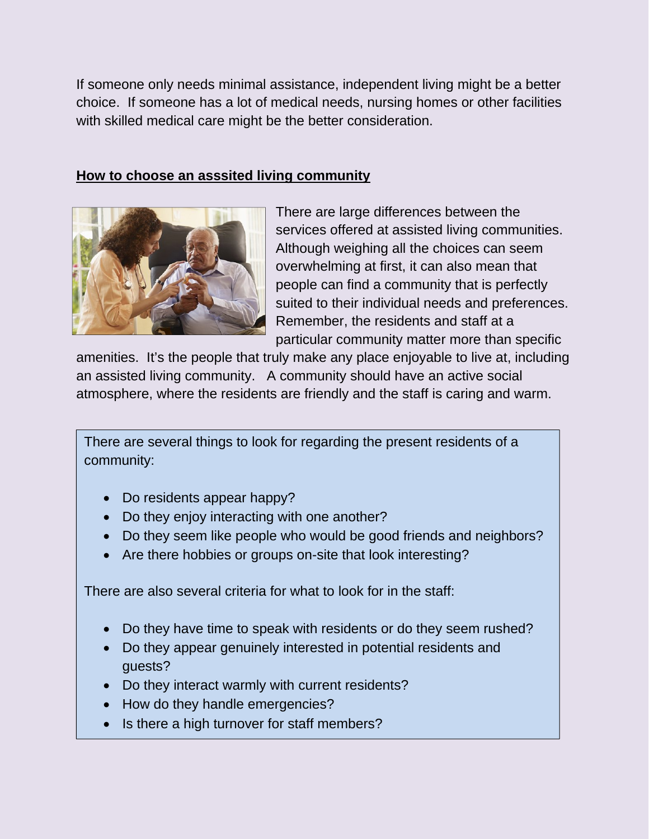If someone only needs minimal assistance, independent living might be a better choice. If someone has a lot of medical needs, nursing homes or other facilities with skilled medical care might be the better consideration.

#### **How to choose an asssited living community**



There are large differences between the services offered at assisted living communities. Although weighing all the choices can seem overwhelming at first, it can also mean that people can find a community that is perfectly suited to their individual needs and preferences. Remember, the residents and staff at a particular community matter more than specific

amenities. It's the people that truly make any place enjoyable to live at, including an assisted living community. A community should have an active social atmosphere, where the residents are friendly and the staff is caring and warm.

There are several things to look for regarding the present residents of a community:

- Do residents appear happy?
- Do they enjoy interacting with one another?
- Do they seem like people who would be good friends and neighbors?
- Are there hobbies or groups on-site that look interesting?

There are also several criteria for what to look for in the staff:

- Do they have time to speak with residents or do they seem rushed?
- Do they appear genuinely interested in potential residents and guests?
- Do they interact warmly with current residents?
- How do they handle emergencies?
- Is there a high turnover for staff members?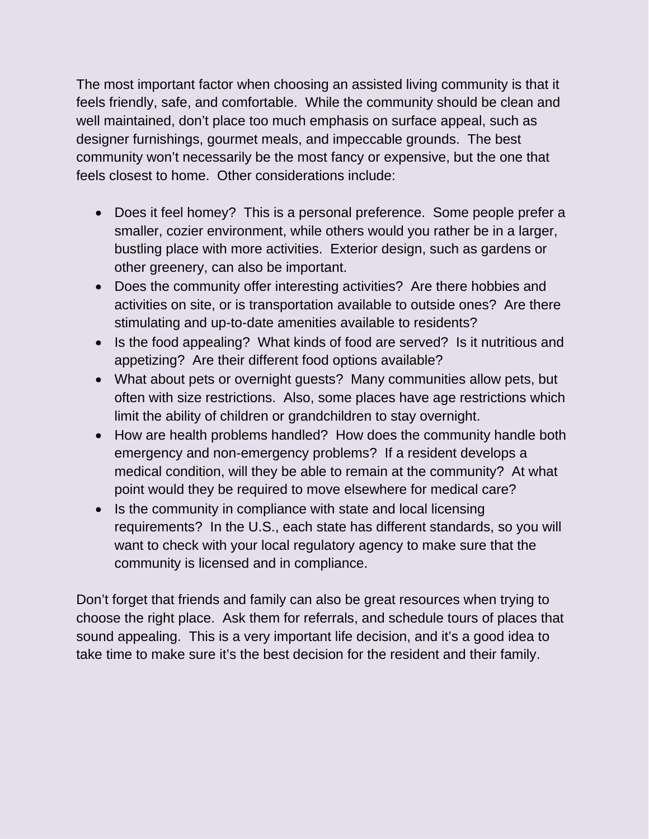The most important factor when choosing an assisted living community is that it feels friendly, safe, and comfortable. While the community should be clean and well maintained, don't place too much emphasis on surface appeal, such as designer furnishings, gourmet meals, and impeccable grounds. The best community won't necessarily be the most fancy or expensive, but the one that feels closest to home. Other considerations include:

- Does it feel homey? This is a personal preference. Some people prefer a smaller, cozier environment, while others would you rather be in a larger, bustling place with more activities. Exterior design, such as gardens or other greenery, can also be important.
- Does the community offer interesting activities? Are there hobbies and activities on site, or is transportation available to outside ones? Are there stimulating and up-to-date amenities available to residents?
- Is the food appealing? What kinds of food are served? Is it nutritious and appetizing? Are their different food options available?
- What about pets or overnight guests? Many communities allow pets, but often with size restrictions. Also, some places have age restrictions which limit the ability of children or grandchildren to stay overnight.
- How are health problems handled? How does the community handle both emergency and non-emergency problems? If a resident develops a medical condition, will they be able to remain at the community? At what point would they be required to move elsewhere for medical care?
- Is the community in compliance with state and local licensing requirements? In the U.S., each state has different standards, so you will want to check with your local regulatory agency to make sure that the community is licensed and in compliance.

Don't forget that friends and family can also be great resources when trying to choose the right place. Ask them for referrals, and schedule tours of places that sound appealing. This is a very important life decision, and it's a good idea to take time to make sure it's the best decision for the resident and their family.